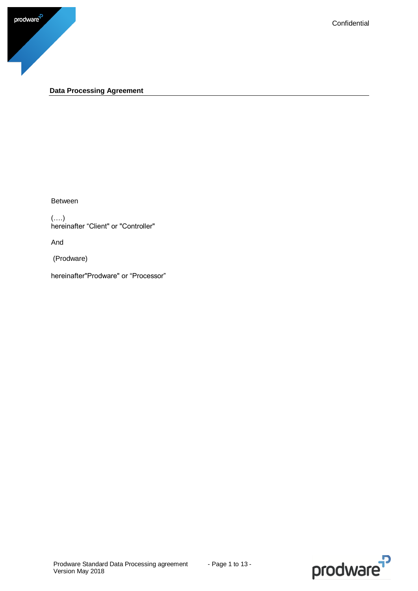

### <span id="page-0-0"></span>**Data Processing Agreement**

Between

(….) hereinafter "Client" or "Controller"

And

(Prodware)

hereinafter"Prodware" or "Processor"

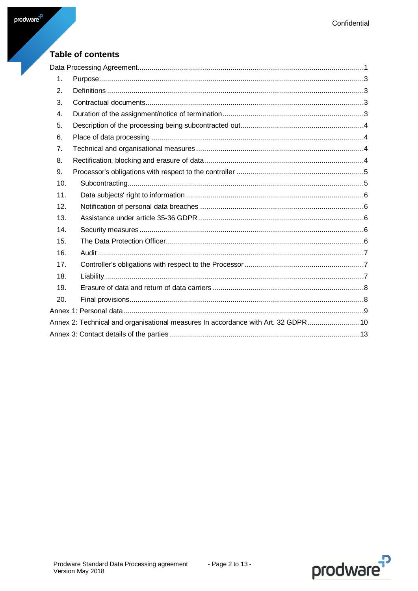# Table of contents

| 1.  |                                                                                  |
|-----|----------------------------------------------------------------------------------|
| 2.  |                                                                                  |
| 3.  |                                                                                  |
| 4.  |                                                                                  |
| 5.  |                                                                                  |
| 6.  |                                                                                  |
| 7.  |                                                                                  |
| 8.  |                                                                                  |
| 9.  |                                                                                  |
| 10. |                                                                                  |
| 11. |                                                                                  |
| 12. |                                                                                  |
| 13. |                                                                                  |
| 14. |                                                                                  |
| 15. |                                                                                  |
| 16. |                                                                                  |
| 17. |                                                                                  |
| 18. |                                                                                  |
| 19. |                                                                                  |
| 20. |                                                                                  |
|     |                                                                                  |
|     | Annex 2: Technical and organisational measures In accordance with Art. 32 GDPR10 |
|     |                                                                                  |

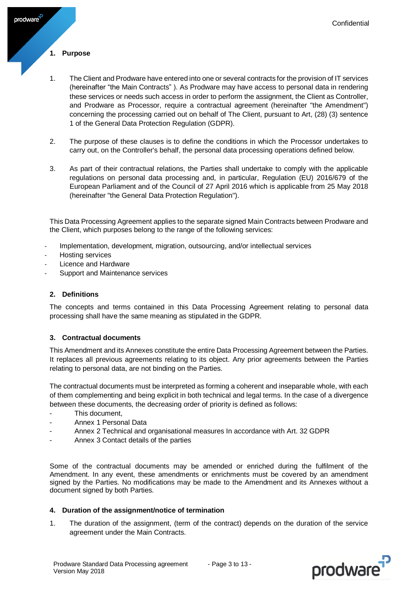### <span id="page-2-0"></span>**1. Purpose**

prodware<sup>-</sup>

- 1. The Client and Prodware have entered into one or several contracts for the provision of IT services (hereinafter "the Main Contracts" ). As Prodware may have access to personal data in rendering these services or needs such access in order to perform the assignment, the Client as Controller, and Prodware as Processor, require a contractual agreement (hereinafter "the Amendment") concerning the processing carried out on behalf of The Client, pursuant to Art, (28) (3) sentence 1 of the General Data Protection Regulation (GDPR).
- 2. The purpose of these clauses is to define the conditions in which the Processor undertakes to carry out, on the Controller's behalf, the personal data processing operations defined below.
- 3. As part of their contractual relations, the Parties shall undertake to comply with the applicable regulations on personal data processing and, in particular, Regulation (EU) 2016/679 of the European Parliament and of the Council of 27 April 2016 which is applicable from 25 May 2018 (hereinafter "the General Data Protection Regulation").

This Data Processing Agreement applies to the separate signed Main Contracts between Prodware and the Client, which purposes belong to the range of the following services:

- Implementation, development, migration, outsourcing, and/or intellectual services
- Hosting services
- Licence and Hardware
- Support and Maintenance services

#### <span id="page-2-1"></span>**2. Definitions**

The concepts and terms contained in this Data Processing Agreement relating to personal data processing shall have the same meaning as stipulated in the GDPR.

#### <span id="page-2-2"></span>**3. Contractual documents**

This Amendment and its Annexes constitute the entire Data Processing Agreement between the Parties. It replaces all previous agreements relating to its object. Any prior agreements between the Parties relating to personal data, are not binding on the Parties.

The contractual documents must be interpreted as forming a coherent and inseparable whole, with each of them complementing and being explicit in both technical and legal terms. In the case of a divergence between these documents, the decreasing order of priority is defined as follows:

- This document.
- Annex 1 Personal Data
- Annex 2 Technical and organisational measures In accordance with Art. 32 GDPR
- Annex 3 Contact details of the parties

Some of the contractual documents may be amended or enriched during the fulfilment of the Amendment. In any event, these amendments or enrichments must be covered by an amendment signed by the Parties. No modifications may be made to the Amendment and its Annexes without a document signed by both Parties.

#### <span id="page-2-3"></span>**4. Duration of the assignment/notice of termination**

1. The duration of the assignment, (term of the contract) depends on the duration of the service agreement under the Main Contracts.

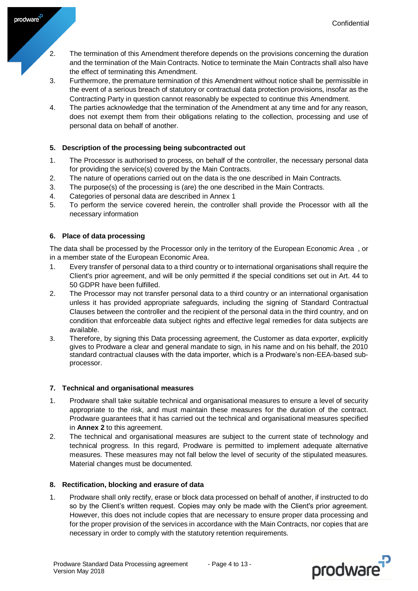- 2. The termination of this Amendment therefore depends on the provisions concerning the duration and the termination of the Main Contracts. Notice to terminate the Main Contracts shall also have the effect of terminating this Amendment.
- 3. Furthermore, the premature termination of this Amendment without notice shall be permissible in the event of a serious breach of statutory or contractual data protection provisions, insofar as the Contracting Party in question cannot reasonably be expected to continue this Amendment.
- 4. The parties acknowledge that the termination of the Amendment at any time and for any reason, does not exempt them from their obligations relating to the collection, processing and use of personal data on behalf of another.

### <span id="page-3-0"></span>**5. Description of the processing being subcontracted out**

- 1. The Processor is authorised to process, on behalf of the controller, the necessary personal data for providing the service(s) covered by the Main Contracts.
- 2. The nature of operations carried out on the data is the one described in Main Contracts.
- 3. The purpose(s) of the processing is (are) the one described in the Main Contracts.
- 4. Categories of personal data are described in Annex 1
- 5. To perform the service covered herein, the controller shall provide the Processor with all the necessary information

### <span id="page-3-1"></span>**6. Place of data processing**

prodware<sup>7</sup>

The data shall be processed by the Processor only in the territory of the European Economic Area , or in a member state of the European Economic Area.

- 1. Every transfer of personal data to a third country or to international organisations shall require the Client's prior agreement, and will be only permitted if the special conditions set out in Art. 44 to 50 GDPR have been fulfilled.
- 2. The Processor may not transfer personal data to a third country or an international organisation unless it has provided appropriate safeguards, including the signing of Standard Contractual Clauses between the controller and the recipient of the personal data in the third country, and on condition that enforceable data subject rights and effective legal remedies for data subjects are available.
- 3. Therefore, by signing this Data processing agreement, the Customer as data exporter, explicitly gives to Prodware a clear and general mandate to sign, in his name and on his behalf, the 2010 standard contractual clauses with the data importer, which is a Prodware's non-EEA-based subprocessor.

#### <span id="page-3-2"></span>**7. Technical and organisational measures**

- 1. Prodware shall take suitable technical and organisational measures to ensure a level of security appropriate to the risk, and must maintain these measures for the duration of the contract. Prodware guarantees that it has carried out the technical and organisational measures specified in **Annex 2** to this agreement.
- 2. The technical and organisational measures are subject to the current state of technology and technical progress. In this regard, Prodware is permitted to implement adequate alternative measures. These measures may not fall below the level of security of the stipulated measures. Material changes must be documented.

#### <span id="page-3-3"></span>**8. Rectification, blocking and erasure of data**

1. Prodware shall only rectify, erase or block data processed on behalf of another, if instructed to do so by the Client's written request. Copies may only be made with the Client's prior agreement. However, this does not include copies that are necessary to ensure proper data processing and for the proper provision of the services in accordance with the Main Contracts, nor copies that are necessary in order to comply with the statutory retention requirements.

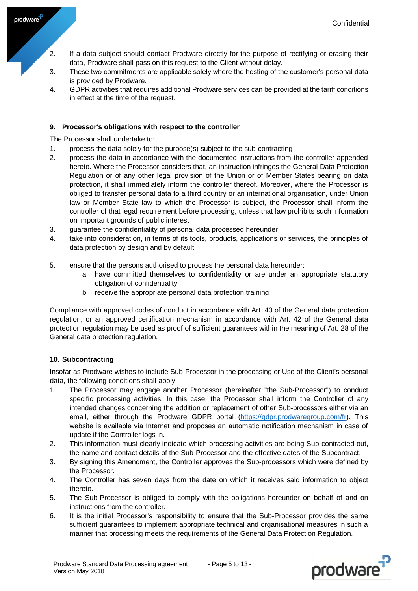- 2. If a data subject should contact Prodware directly for the purpose of rectifying or erasing their data, Prodware shall pass on this request to the Client without delay.
- 3. These two commitments are applicable solely where the hosting of the customer's personal data is provided by Prodware.
- 4. GDPR activities that requires additional Prodware services can be provided at the tariff conditions in effect at the time of the request.

### <span id="page-4-0"></span>**9. Processor's obligations with respect to the controller**

The Processor shall undertake to:

prodware<sup>7</sup>

- 1. process the data solely for the purpose(s) subject to the sub-contracting
- 2. process the data in accordance with the documented instructions from the controller appended hereto. Where the Processor considers that, an instruction infringes the General Data Protection Regulation or of any other legal provision of the Union or of Member States bearing on data protection, it shall immediately inform the controller thereof. Moreover, where the Processor is obliged to transfer personal data to a third country or an international organisation, under Union law or Member State law to which the Processor is subject, the Processor shall inform the controller of that legal requirement before processing, unless that law prohibits such information on important grounds of public interest
- 3. guarantee the confidentiality of personal data processed hereunder
- 4. take into consideration, in terms of its tools, products, applications or services, the principles of data protection by design and by default
- 5. ensure that the persons authorised to process the personal data hereunder:
	- a. have committed themselves to confidentiality or are under an appropriate statutory obligation of confidentiality
	- b. receive the appropriate personal data protection training

Compliance with approved codes of conduct in accordance with Art. 40 of the General data protection regulation, or an approved certification mechanism in accordance with Art. 42 of the General data protection regulation may be used as proof of sufficient guarantees within the meaning of Art. 28 of the General data protection regulation.

### <span id="page-4-1"></span>**10. Subcontracting**

Insofar as Prodware wishes to include Sub-Processor in the processing or Use of the Client's personal data, the following conditions shall apply:

- 1. The Processor may engage another Processor (hereinafter "the Sub-Processor") to conduct specific processing activities. In this case, the Processor shall inform the Controller of any intended changes concerning the addition or replacement of other Sub-processors either via an email, either through the Prodware GDPR portal [\(https://gdpr.prodwaregroup.com/fr\)](https://gdpr.prodwaregroup.com/fr). This website is available via Internet and proposes an automatic notification mechanism in case of update if the Controller logs in.
- 2. This information must clearly indicate which processing activities are being Sub-contracted out, the name and contact details of the Sub-Processor and the effective dates of the Subcontract.
- 3. By signing this Amendment, the Controller approves the Sub-processors which were defined by the Processor.
- 4. The Controller has seven days from the date on which it receives said information to object thereto.
- 5. The Sub-Processor is obliged to comply with the obligations hereunder on behalf of and on instructions from the controller.
- 6. It is the initial Processor's responsibility to ensure that the Sub-Processor provides the same sufficient guarantees to implement appropriate technical and organisational measures in such a manner that processing meets the requirements of the General Data Protection Regulation.

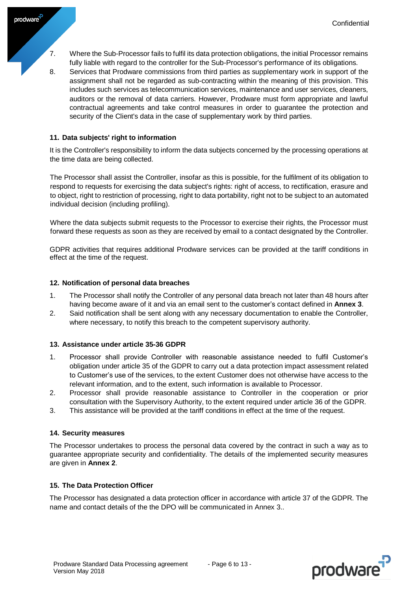- 7. Where the Sub-Processor fails to fulfil its data protection obligations, the initial Processor remains fully liable with regard to the controller for the Sub-Processor's performance of its obligations.
- 8. Services that Prodware commissions from third parties as supplementary work in support of the assignment shall not be regarded as sub-contracting within the meaning of this provision. This includes such services as telecommunication services, maintenance and user services, cleaners, auditors or the removal of data carriers. However, Prodware must form appropriate and lawful contractual agreements and take control measures in order to guarantee the protection and security of the Client's data in the case of supplementary work by third parties.

### <span id="page-5-0"></span>**11. Data subjects' right to information**

prodware<sup>-</sup>

It is the Controller's responsibility to inform the data subjects concerned by the processing operations at the time data are being collected.

The Processor shall assist the Controller, insofar as this is possible, for the fulfilment of its obligation to respond to requests for exercising the data subject's rights: right of access, to rectification, erasure and to object, right to restriction of processing, right to data portability, right not to be subject to an automated individual decision (including profiling).

Where the data subjects submit requests to the Processor to exercise their rights, the Processor must forward these requests as soon as they are received by email to a contact designated by the Controller.

GDPR activities that requires additional Prodware services can be provided at the tariff conditions in effect at the time of the request.

#### <span id="page-5-1"></span>**12. Notification of personal data breaches**

- 1. The Processor shall notify the Controller of any personal data breach not later than 48 hours after having become aware of it and via an email sent to the customer's contact defined in **Annex 3**.
- 2. Said notification shall be sent along with any necessary documentation to enable the Controller, where necessary, to notify this breach to the competent supervisory authority.

#### <span id="page-5-2"></span>**13. Assistance under article 35-36 GDPR**

- 1. Processor shall provide Controller with reasonable assistance needed to fulfil Customer's obligation under article 35 of the GDPR to carry out a data protection impact assessment related to Customer's use of the services, to the extent Customer does not otherwise have access to the relevant information, and to the extent, such information is available to Processor.
- 2. Processor shall provide reasonable assistance to Controller in the cooperation or prior consultation with the Supervisory Authority, to the extent required under article 36 of the GDPR.
- 3. This assistance will be provided at the tariff conditions in effect at the time of the request.

#### <span id="page-5-3"></span>**14. Security measures**

The Processor undertakes to process the personal data covered by the contract in such a way as to guarantee appropriate security and confidentiality. The details of the implemented security measures are given in **Annex 2**.

#### <span id="page-5-4"></span>**15. The Data Protection Officer**

The Processor has designated a data protection officer in accordance with article 37 of the GDPR. The name and contact details of the the DPO will be communicated in Annex 3..

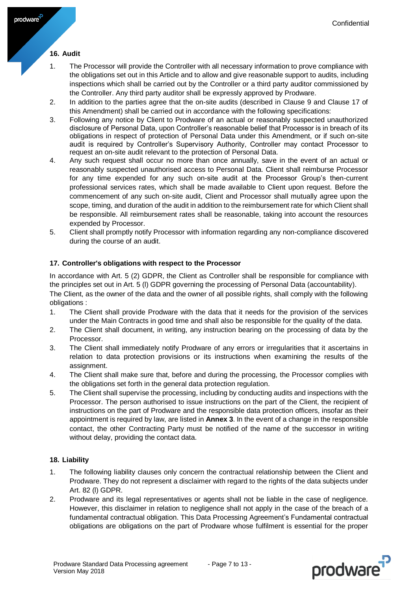### <span id="page-6-0"></span>**16. Audit**

prodware<sup>7</sup>

- 1. The Processor will provide the Controller with all necessary information to prove compliance with the obligations set out in this Article and to allow and give reasonable support to audits, including inspections which shall be carried out by the Controller or a third party auditor commissioned by the Controller. Any third party auditor shall be expressly approved by Prodware.
- 2. In addition to the parties agree that the on-site audits (described in Clause 9 and Clause 17 of this Amendment) shall be carried out in accordance with the following specifications:
- 3. Following any notice by Client to Prodware of an actual or reasonably suspected unauthorized disclosure of Personal Data, upon Controller's reasonable belief that Processor is in breach of its obligations in respect of protection of Personal Data under this Amendment, or if such on-site audit is required by Controller's Supervisory Authority, Controller may contact Processor to request an on-site audit relevant to the protection of Personal Data.
- 4. Any such request shall occur no more than once annually, save in the event of an actual or reasonably suspected unauthorised access to Personal Data. Client shall reimburse Processor for any time expended for any such on-site audit at the Processor Group's then-current professional services rates, which shall be made available to Client upon request. Before the commencement of any such on-site audit, Client and Processor shall mutually agree upon the scope, timing, and duration of the audit in addition to the reimbursement rate for which Client shall be responsible. All reimbursement rates shall be reasonable, taking into account the resources expended by Processor.
- 5. Client shall promptly notify Processor with information regarding any non-compliance discovered during the course of an audit.

### <span id="page-6-1"></span>**17. Controller's obligations with respect to the Processor**

In accordance with Art. 5 (2) GDPR, the Client as Controller shall be responsible for compliance with the principles set out in Art. 5 (l) GDPR governing the processing of Personal Data (accountability). The Client, as the owner of the data and the owner of all possible rights, shall comply with the following obligations :

- 1. The Client shall provide Prodware with the data that it needs for the provision of the services under the Main Contracts in good time and shall also be responsible for the quality of the data.
- 2. The Client shall document, in writing, any instruction bearing on the processing of data by the Processor.
- 3. The Client shall immediately notify Prodware of any errors or irregularities that it ascertains in relation to data protection provisions or its instructions when examining the results of the assignment.
- 4. The Client shall make sure that, before and during the processing, the Processor complies with the obligations set forth in the general data protection regulation.
- 5. The Client shall supervise the processing, including by conducting audits and inspections with the Processor. The person authorised to issue instructions on the part of the Client, the recipient of instructions on the part of Prodware and the responsible data protection officers, insofar as their appointment is required by law, are listed in **Annex 3**. In the event of a change in the responsible contact, the other Contracting Party must be notified of the name of the successor in writing without delay, providing the contact data.

### <span id="page-6-2"></span>**18. Liability**

- 1. The following liability clauses only concern the contractual relationship between the Client and Prodware. They do not represent a disclaimer with regard to the rights of the data subjects under Art. 82 (l) GDPR.
- 2. Prodware and its legal representatives or agents shall not be liable in the case of negligence. However, this disclaimer in relation to negligence shall not apply in the case of the breach of a fundamental contractual obligation. This Data Processing Agreement's Fundamental contractual obligations are obligations on the part of Prodware whose fulfilment is essential for the proper

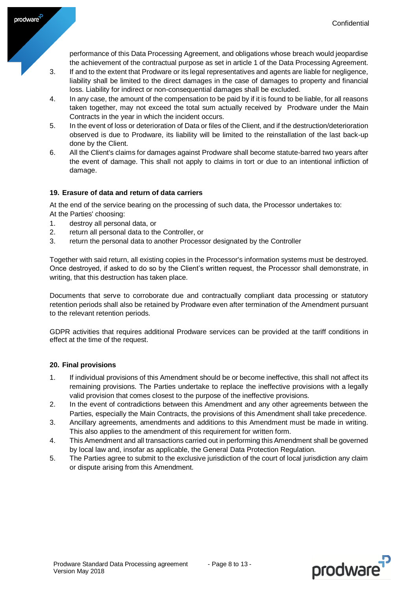prodware

performance of this Data Processing Agreement, and obligations whose breach would jeopardise the achievement of the contractual purpose as set in article 1 of the Data Processing Agreement.

- 3. If and to the extent that Prodware or its legal representatives and agents are liable for negligence, liability shall be limited to the direct damages in the case of damages to property and financial loss. Liability for indirect or non-consequential damages shall be excluded.
- 4. In any case, the amount of the compensation to be paid by if it is found to be liable, for all reasons taken together, may not exceed the total sum actually received by Prodware under the Main Contracts in the year in which the incident occurs.
- 5. In the event of loss or deterioration of Data or files of the Client, and if the destruction/deterioration observed is due to Prodware, its liability will be limited to the reinstallation of the last back-up done by the Client.
- 6. All the Client's claims for damages against Prodware shall become statute-barred two years after the event of damage. This shall not apply to claims in tort or due to an intentional infliction of damage.

### <span id="page-7-0"></span>**19. Erasure of data and return of data carriers**

At the end of the service bearing on the processing of such data, the Processor undertakes to: At the Parties' choosing:

1. destroy all personal data, or

prodware<sup>7</sup>

- 2. return all personal data to the Controller, or
- 3. return the personal data to another Processor designated by the Controller

Together with said return, all existing copies in the Processor's information systems must be destroyed. Once destroyed, if asked to do so by the Client's written request, the Processor shall demonstrate, in writing, that this destruction has taken place.

Documents that serve to corroborate due and contractually compliant data processing or statutory retention periods shall also be retained by Prodware even after termination of the Amendment pursuant to the relevant retention periods.

GDPR activities that requires additional Prodware services can be provided at the tariff conditions in effect at the time of the request.

#### <span id="page-7-1"></span>**20. Final provisions**

- 1. If individual provisions of this Amendment should be or become ineffective, this shall not affect its remaining provisions. The Parties undertake to replace the ineffective provisions with a legally valid provision that comes closest to the purpose of the ineffective provisions.
- 2. In the event of contradictions between this Amendment and any other agreements between the Parties, especially the Main Contracts, the provisions of this Amendment shall take precedence.
- 3. Ancillary agreements, amendments and additions to this Amendment must be made in writing. This also applies to the amendment of this requirement for written form.
- 4. This Amendment and all transactions carried out in performing this Amendment shall be governed by local law and, insofar as applicable, the General Data Protection Regulation.
- 5. The Parties agree to submit to the exclusive jurisdiction of the court of local jurisdiction any claim or dispute arising from this Amendment.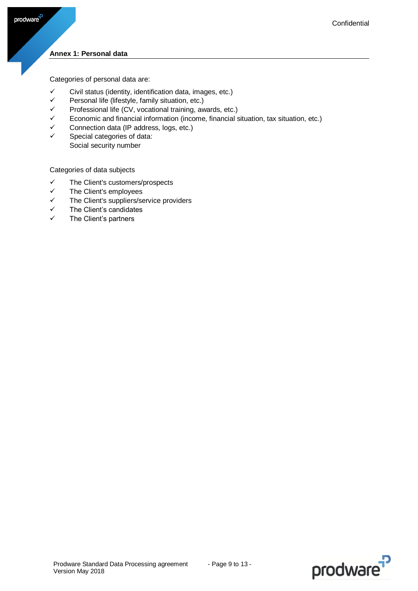### <span id="page-8-0"></span>**Annex 1: Personal data**

 $\mathsf{prodware}^\mathsf{P}$ 

Categories of personal data are:

- $\checkmark$  Civil status (identity, identification data, images, etc.)
- $\checkmark$  Personal life (lifestyle, family situation, etc.)
- $\checkmark$  Professional life (CV, vocational training, awards, etc.)
- $\checkmark$  Economic and financial information (income, financial situation, tax situation, etc.)
- $\checkmark$  Connection data (IP address, logs, etc.)
- $\checkmark$  Special categories of data: Social security number

Categories of data subjects

- $\checkmark$  The Client's customers/prospects
- $\checkmark$  The Client's employees
- $\checkmark$  The Client's suppliers/service providers
- $\checkmark$  The Client's candidates
- $\checkmark$  The Client's partners

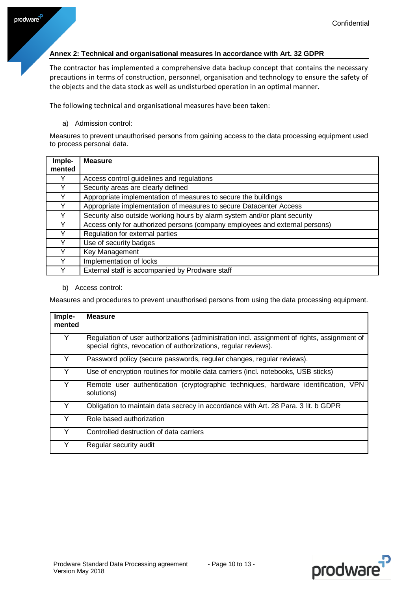### <span id="page-9-0"></span>**Annex 2: Technical and organisational measures In accordance with Art. 32 GDPR**

The contractor has implemented a comprehensive data backup concept that contains the necessary precautions in terms of construction, personnel, organisation and technology to ensure the safety of the objects and the data stock as well as undisturbed operation in an optimal manner.

The following technical and organisational measures have been taken:

a) Admission control:

Measures to prevent unauthorised persons from gaining access to the data processing equipment used to process personal data.

| Imple- | <b>Measure</b>                                                              |
|--------|-----------------------------------------------------------------------------|
| mented |                                                                             |
|        | Access control guidelines and regulations                                   |
| Y      | Security areas are clearly defined                                          |
|        | Appropriate implementation of measures to secure the buildings              |
|        | Appropriate implementation of measures to secure Datacenter Access          |
| v      | Security also outside working hours by alarm system and/or plant security   |
| v      | Access only for authorized persons (company employees and external persons) |
|        | Regulation for external parties                                             |
|        | Use of security badges                                                      |
|        | Key Management                                                              |
|        | Implementation of locks                                                     |
|        | External staff is accompanied by Prodware staff                             |

b) Access control:

Measures and procedures to prevent unauthorised persons from using the data processing equipment.

| Imple-<br>mented | <b>Measure</b>                                                                                                                                                 |
|------------------|----------------------------------------------------------------------------------------------------------------------------------------------------------------|
| Y                | Regulation of user authorizations (administration incl. assignment of rights, assignment of<br>special rights, revocation of authorizations, regular reviews). |
|                  | Password policy (secure passwords, regular changes, regular reviews).                                                                                          |
| Y                | Use of encryption routines for mobile data carriers (incl. notebooks, USB sticks)                                                                              |
| Y                | Remote user authentication (cryptographic techniques, hardware identification, VPN<br>solutions)                                                               |
| Y                | Obligation to maintain data secrecy in accordance with Art. 28 Para. 3 lit. b GDPR                                                                             |
| Y                | Role based authorization                                                                                                                                       |
|                  | Controlled destruction of data carriers                                                                                                                        |
|                  | Regular security audit                                                                                                                                         |

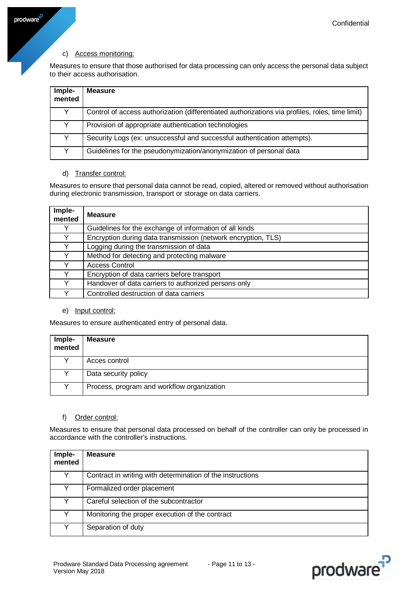### c) Access monitoring:

Measures to ensure that those authorised for data processing can only access the personal data subject to their access authorisation.

| Imple-<br>mented | <b>Measure</b>                                                                                  |
|------------------|-------------------------------------------------------------------------------------------------|
|                  | Control of access authorization (differentiated authorizations via profiles, roles, time limit) |
|                  | Provision of appropriate authentication technologies                                            |
|                  | Security Logs (ex: unsuccessful and successful authentication attempts).                        |
|                  | Guidelines for the pseudonymization/anonymization of personal data                              |

### d) Transfer control:

Measures to ensure that personal data cannot be read, copied, altered or removed without authorisation during electronic transmission, transport or storage on data carriers.

| Imple-<br>mented | <b>Measure</b>                                                |
|------------------|---------------------------------------------------------------|
|                  | Guidelines for the exchange of information of all kinds       |
|                  | Encryption during data transmission (network encryption, TLS) |
|                  | Logging during the transmission of data                       |
|                  | Method for detecting and protecting malware                   |
|                  | <b>Access Control</b>                                         |
|                  | Encryption of data carriers before transport                  |
|                  | Handover of data carriers to authorized persons only          |
|                  | Controlled destruction of data carriers                       |

#### e) Input control:

Measures to ensure authenticated entry of personal data.

| Imple-<br>mented | <b>Measure</b>                             |
|------------------|--------------------------------------------|
|                  | Acces control                              |
|                  | Data security policy                       |
|                  | Process, program and workflow organization |

#### f) Order control:

Measures to ensure that personal data processed on behalf of the controller can only be processed in accordance with the controller's instructions.

| Imple-<br>mented | <b>Measure</b>                                             |
|------------------|------------------------------------------------------------|
| v                | Contract in writing with determination of the instructions |
|                  | Formalized order placement                                 |
|                  | Careful selection of the subcontractor                     |
|                  | Monitoring the proper execution of the contract            |
|                  | Separation of duty                                         |



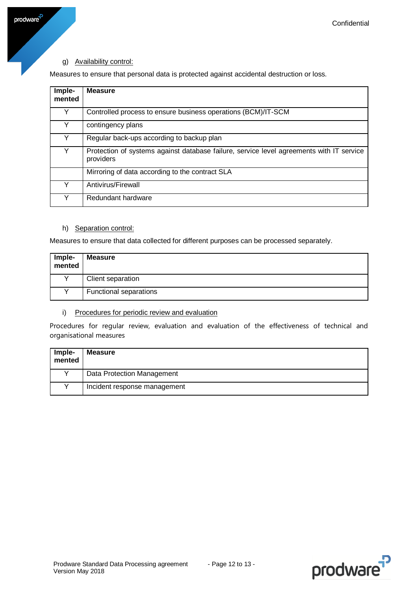# g) Availability control:

prodware<sup>-p</sup>

Measures to ensure that personal data is protected against accidental destruction or loss.

| Imple-<br>mented | <b>Measure</b>                                                                                        |
|------------------|-------------------------------------------------------------------------------------------------------|
| Y                | Controlled process to ensure business operations (BCM)/IT-SCM                                         |
| Y                | contingency plans                                                                                     |
| Y                | Regular back-ups according to backup plan                                                             |
|                  | Protection of systems against database failure, service level agreements with IT service<br>providers |
|                  | Mirroring of data according to the contract SLA                                                       |
|                  | Antivirus/Firewall                                                                                    |
|                  | Redundant hardware                                                                                    |

#### h) Separation control:

Measures to ensure that data collected for different purposes can be processed separately.

| Imple-<br>mented | <b>Measure</b>                |
|------------------|-------------------------------|
| v                | Client separation             |
| $\checkmark$     | <b>Functional separations</b> |

#### i) Procedures for periodic review and evaluation

Procedures for regular review, evaluation and evaluation of the effectiveness of technical and organisational measures

| Imple-<br>mented | <b>Measure</b>               |
|------------------|------------------------------|
|                  | Data Protection Management   |
|                  | Incident response management |